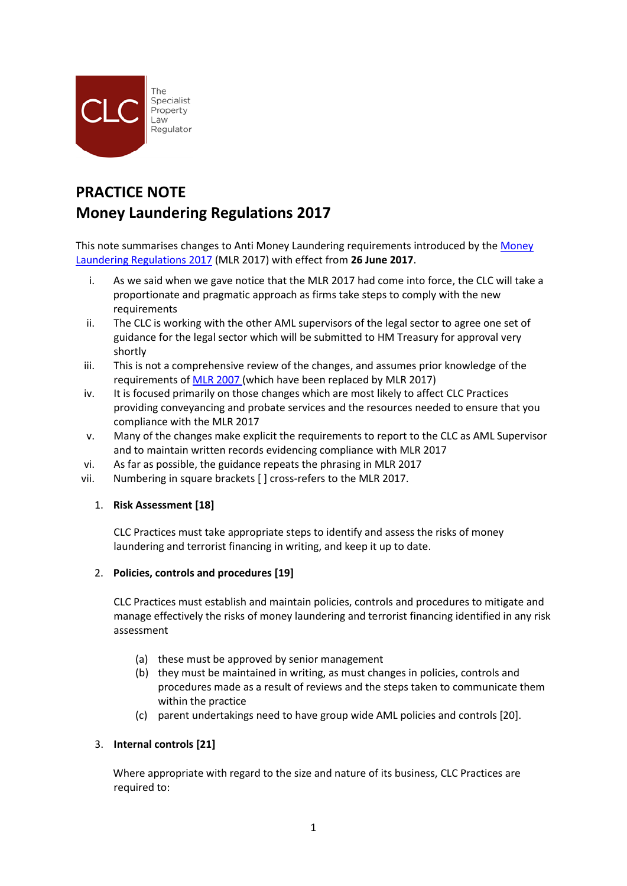

# **PRACTICE NOTE Money Laundering Regulations 2017**

This note summarises changes to Anti Money Laundering requirements introduced by the [Money](http://www.legislation.gov.uk/uksi/2017/692/pdfs/uksi_20170692_en.pdf)  [Laundering Regulations 2017](http://www.legislation.gov.uk/uksi/2017/692/pdfs/uksi_20170692_en.pdf) (MLR 2017) with effect from **26 June 2017**.

- i. As we said when we gave notice that the MLR 2017 had come into force, the CLC will take a proportionate and pragmatic approach as firms take steps to comply with the new requirements
- ii. The CLC is working with the other AML supervisors of the legal sector to agree one set of guidance for the legal sector which will be submitted to HM Treasury for approval very shortly
- iii. This is not a comprehensive review of the changes, and assumes prior knowledge of the requirements of [MLR 2007](http://www.legislation.gov.uk/uksi/2007/2157/pdfs/uksi_20072157_en.pdf) (which have been replaced by MLR 2017)
- iv. It is focused primarily on those changes which are most likely to affect CLC Practices providing conveyancing and probate services and the resources needed to ensure that you compliance with the MLR 2017
- v. Many of the changes make explicit the requirements to report to the CLC as AML Supervisor and to maintain written records evidencing compliance with MLR 2017
- vi. As far as possible, the guidance repeats the phrasing in MLR 2017
- vii. Numbering in square brackets [ ] cross-refers to the MLR 2017.

# 1. **Risk Assessment [18]**

CLC Practices must take appropriate steps to identify and assess the risks of money laundering and terrorist financing in writing, and keep it up to date.

# 2. **Policies, controls and procedures [19]**

CLC Practices must establish and maintain policies, controls and procedures to mitigate and manage effectively the risks of money laundering and terrorist financing identified in any risk assessment

- (a) these must be approved by senior management
- (b) they must be maintained in writing, as must changes in policies, controls and procedures made as a result of reviews and the steps taken to communicate them within the practice
- (c) parent undertakings need to have group wide AML policies and controls [20].

# 3. **Internal controls [21]**

Where appropriate with regard to the size and nature of its business, CLC Practices are required to: